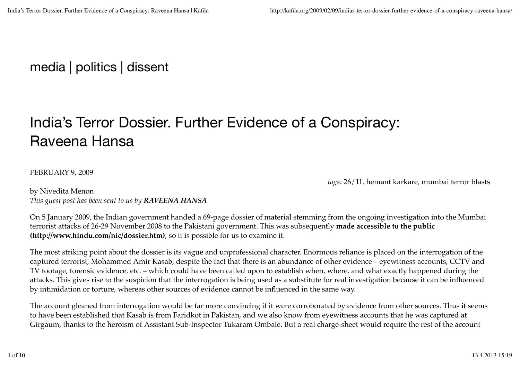## media | politics | dissent

# India's Terror Dossier. Further Evidence of a Conspiracy: Raveena Hansa

## FEBRUARY 9, 2009

*tags:* 26/11*,* hemant karkare*,* mumbai terror blasts

by Nivedita Menon *This guest post has been sent to us by RAVEENA HANSA*

On 5 January 2009, the Indian government handed a 69-page dossier of material stemming from the ongoing investigation into the Mumbai terrorist attacks of 26-29 November 2008 to the Pakistani government. This was subsequently **made accessible to the public (http://www.hindu.com/nic/dossier.htm)**, so it is possible for us to examine it.

The most striking point about the dossier is its vague and unprofessional character. Enormous reliance is placed on the interrogation of the captured terrorist, Mohammed Amir Kasab, despite the fact that there is an abundance of other evidence – eyewitness accounts, CCTV and TV footage, forensic evidence, etc. – which could have been called upon to establish when, where, and what exactly happened during the attacks. This gives rise to the suspicion that the interrogation is being used as a substitute for real investigation because it can be influenced by intimidation or torture, whereas other sources of evidence cannot be influenced in the same way.

The account gleaned from interrogation would be far more convincing if it were corroborated by evidence from other sources. Thus it seems to have been established that Kasab is from Faridkot in Pakistan, and we also know from eyewitness accounts that he was captured at Girgaum, thanks to the heroism of Assistant Sub-Inspector Tukaram Ombale. But a real charge-sheet would require the rest of the account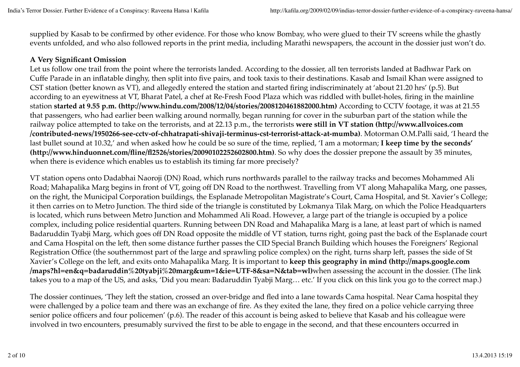supplied by Kasab to be confirmed by other evidence. For those who know Bombay, who were glued to their TV screens while the ghastly events unfolded, and who also followed reports in the print media, including Marathi newspapers, the account in the dossier just won't do.

#### **A Very Significant Omission**

Let us follow one trail from the point where the terrorists landed. According to the dossier, all ten terrorists landed at Badhwar Park on Cuffe Parade in an inflatable dinghy, then split into five pairs, and took taxis to their destinations. Kasab and Ismail Khan were assigned to CST station (better known as VT), and allegedly entered the station and started firing indiscriminately at 'about 21.20 hrs' (p.5). But according to an eyewitness at VT, Bharat Patel, a chef at Re-Fresh Food Plaza which was riddled with bullet-holes, firing in the mainline station **started at 9.55 p.m. (http://www.hindu.com/2008/12/04/stories/2008120461882000.htm)** According to CCTV footage, it was at 21.55 that passengers, who had earlier been walking around normally, began running for cover in the suburban part of the station while the railway police attempted to take on the terrorists, and at 22.13 p.m., the terrorists **were still in VT station (http://www.allvoices.com /contributed-news/1950266-see-cctv-of-chhatrapati-shivaji-terminus-cst-terrorist-attack-at-mumba)**. Motorman O.M.Palli said, 'I heard the last bullet sound at 10.32,' and when asked how he could be so sure of the time, replied, 'I am a motorman; **I keep time by the seconds' (http://www.hinduonnet.com/fline/fl2526/stories/20090102252602800.htm)**. So why does the dossier prepone the assault by 35 minutes, when there is evidence which enables us to establish its timing far more precisely?

VT station opens onto Dadabhai Naoroji (DN) Road, which runs northwards parallel to the railway tracks and becomes Mohammed Ali Road; Mahapalika Marg begins in front of VT, going off DN Road to the northwest. Travelling from VT along Mahapalika Marg, one passes, on the right, the Municipal Corporation buildings, the Esplanade Metropolitan Magistrate's Court, Cama Hospital, and St. Xavier's College; it then carries on to Metro Junction. The third side of the triangle is constituted by Lokmanya Tilak Marg, on which the Police Headquarters is located, which runs between Metro Junction and Mohammed Ali Road. However, a large part of the triangle is occupied by a police complex, including police residential quarters. Running between DN Road and Mahapalika Marg is a lane, at least part of which is named Badaruddin Tyabji Marg, which goes off DN Road opposite the middle of VT station, turns right, going past the back of the Esplanade court and Cama Hospital on the left, then some distance further passes the CID Special Branch Building which houses the Foreigners' Regional Registration Office (the southernmost part of the large and sprawling police complex) on the right, turns sharp left, passes the side of St Xavier's College on the left, and exits onto Mahapalika Marg. It is important to **keep this geography in mind (http://maps.google.com /maps?hl=en&q=badaruddin%20tyabji%20marg&um=1&ie=UTF-8&sa=N&tab=wl)**when assessing the account in the dossier. (The link takes you to a map of the US, and asks, 'Did you mean: Badaruddin Tyabji Marg… etc.' If you click on this link you go to the correct map.)

The dossier continues, 'They left the station, crossed an over-bridge and fled into a lane towards Cama hospital. Near Cama hospital they were challenged by a police team and there was an exchange of fire. As they exited the lane, they fired on a police vehicle carrying three senior police officers and four policemen' (p.6). The reader of this account is being asked to believe that Kasab and his colleague were involved in two encounters, presumably survived the first to be able to engage in the second, and that these encounters occurred in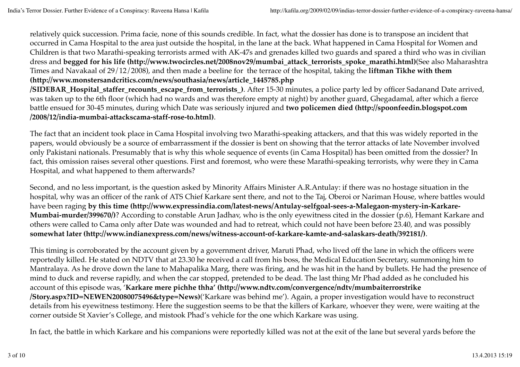relatively quick succession. Prima facie, none of this sounds credible. In fact, what the dossier has done is to transpose an incident that occurred in Cama Hospital to the area just outside the hospital, in the lane at the back. What happened in Cama Hospital for Women and Children is that two Marathi-speaking terrorists armed with AK-47s and grenades killed two guards and spared a third who was in civilian dress and **begged for his life (http://www.twocircles.net/2008nov29/mumbai\_attack\_terrorists\_spoke\_marathi.html)**(See also Maharashtra Times and Navakaal of 29/12/2008), and then made a beeline for the terrace of the hospital, taking the **liftman Tikhe with them (http://www.monstersandcritics.com/news/southasia/news/article\_1445785.php**

**/SIDEBAR\_Hospital\_staffer\_recounts\_escape\_from\_terrorists\_)**. After 15-30 minutes, a police party led by officer Sadanand Date arrived, was taken up to the 6th floor (which had no wards and was therefore empty at night) by another guard, Ghegadamal, after which a fierce battle ensued for 30-45 minutes, during which Date was seriously injured and **two policemen died (http://spoonfeedin.blogspot.com /2008/12/india-mumbai-attackscama-staff-rose-to.html)**.

The fact that an incident took place in Cama Hospital involving two Marathi-speaking attackers, and that this was widely reported in the papers, would obviously be a source of embarrassment if the dossier is bent on showing that the terror attacks of late November involved only Pakistani nationals. Presumably that is why this whole sequence of events (in Cama Hospital) has been omitted from the dossier? In fact, this omission raises several other questions. First and foremost, who were these Marathi-speaking terrorists, why were they in Cama Hospital, and what happened to them afterwards?

Second, and no less important, is the question asked by Minority Affairs Minister A.R.Antulay: if there was no hostage situation in the hospital, why was an officer of the rank of ATS Chief Karkare sent there, and not to the Taj, Oberoi or Nariman House, where battles would have been raging **by this time (http://www.expressindia.com/latest-news/Antulay-selfgoal-sees-a-Malegaon-mystery-in-Karkare-Mumbai-murder/399670/)**? According to constable Arun Jadhav, who is the only eyewitness cited in the dossier (p.6), Hemant Karkare and others were called to Cama only after Date was wounded and had to retreat, which could not have been before 23.40, and was possibly **somewhat later (http://www.indianexpress.com/news/witness-account-of-karkare-kamte-and-salaskars-death/392181/)**.

This timing is corroborated by the account given by a government driver, Maruti Phad, who lived off the lane in which the officers were reportedly killed. He stated on NDTV that at 23.30 he received a call from his boss, the Medical Education Secretary, summoning him to Mantralaya. As he drove down the lane to Mahapalika Marg, there was firing, and he was hit in the hand by bullets. He had the presence of mind to duck and reverse rapidly, and when the car stopped, pretended to be dead. The last thing Mr Phad added as he concluded his account of this episode was, '**Karkare mere pichhe thha' (http://www.ndtv.com/convergence/ndtv/mumbaiterrorstrike /Story.aspx?ID=NEWEN20080075496&type=News)**('Karkare was behind me'). Again, a proper investigation would have to reconstruct details from his eyewitness testimony. Here the suggestion seems to be that the killers of Karkare, whoever they were, were waiting at the corner outside St Xavier's College, and mistook Phad's vehicle for the one which Karkare was using.

In fact, the battle in which Karkare and his companions were reportedly killed was not at the exit of the lane but several yards before the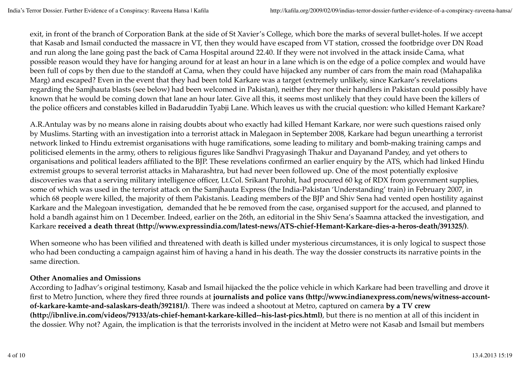exit, in front of the branch of Corporation Bank at the side of St Xavier's College, which bore the marks of several bullet-holes. If we accept that Kasab and Ismail conducted the massacre in VT, then they would have escaped from VT station, crossed the footbridge over DN Road and run along the lane going past the back of Cama Hospital around 22.40. If they were not involved in the attack inside Cama, what possible reason would they have for hanging around for at least an hour in a lane which is on the edge of a police complex and would have been full of cops by then due to the standoff at Cama, when they could have hijacked any number of cars from the main road (Mahapalika Marg) and escaped? Even in the event that they had been told Karkare was a target (extremely unlikely, since Karkare's revelations regarding the Samjhauta blasts (see below) had been welcomed in Pakistan), neither they nor their handlers in Pakistan could possibly have known that he would be coming down that lane an hour later. Give all this, it seems most unlikely that they could have been the killers of the police officers and constables killed in Badaruddin Tyabji Lane. Which leaves us with the crucial question: who killed Hemant Karkare?

A.R.Antulay was by no means alone in raising doubts about who exactly had killed Hemant Karkare, nor were such questions raised only by Muslims. Starting with an investigation into a terrorist attack in Malegaon in September 2008, Karkare had begun unearthing a terrorist network linked to Hindu extremist organisations with huge ramifications, some leading to military and bomb-making training camps and politicised elements in the army, others to religious figures like Sandhvi Pragyasingh Thakur and Dayanand Pandey, and yet others to organisations and political leaders affiliated to the BJP. These revelations confirmed an earlier enquiry by the ATS, which had linked Hindu extremist groups to several terrorist attacks in Maharashtra, but had never been followed up. One of the most potentially explosive discoveries was that a serving military intelligence officer, Lt.Col. Srikant Purohit, had procured 60 kg of RDX from government supplies, some of which was used in the terrorist attack on the Samjhauta Express (the India-Pakistan 'Understanding' train) in February 2007, in which 68 people were killed, the majority of them Pakistanis. Leading members of the BJP and Shiv Sena had vented open hostility against Karkare and the Malegoan investigation, demanded that he be removed from the case, organised support for the accused, and planned to hold a bandh against him on 1 December. Indeed, earlier on the 26th, an editorial in the Shiv Sena's Saamna attacked the investigation, and Karkare **received a death threat (http://www.expressindia.com/latest-news/ATS-chief-Hemant-Karkare-dies-a-heros-death/391325/)**.

When someone who has been vilified and threatened with death is killed under mysterious circumstances, it is only logical to suspect those who had been conducting a campaign against him of having a hand in his death. The way the dossier constructs its narrative points in the same direction.

## **Other Anomalies and Omissions**

According to Jadhav's original testimony, Kasab and Ismail hijacked the the police vehicle in which Karkare had been travelling and drove it first to Metro Junction, where they fired three rounds at **journalists and police vans (http://www.indianexpress.com/news/witness-accountof-karkare-kamte-and-salaskars-death/392181/)**. There was indeed a shootout at Metro, captured on camera **by a TV crew (http://ibnlive.in.com/videos/79133/ats-chief-hemant-karkare-killed--his-last-pics.html)**, but there is no mention at all of this incident in the dossier. Why not? Again, the implication is that the terrorists involved in the incident at Metro were not Kasab and Ismail but members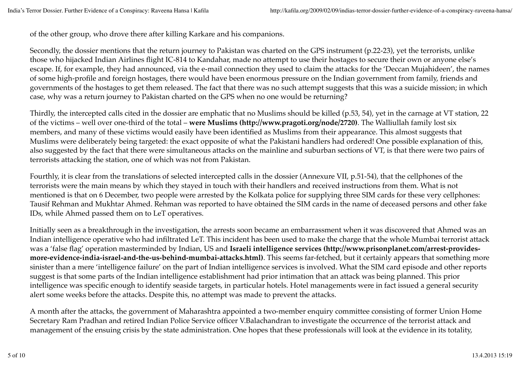of the other group, who drove there after killing Karkare and his companions.

Secondly, the dossier mentions that the return journey to Pakistan was charted on the GPS instrument (p.22-23), yet the terrorists, unlike those who hijacked Indian Airlines flight IC-814 to Kandahar, made no attempt to use their hostages to secure their own or anyone else's escape. If, for example, they had announced, via the e-mail connection they used to claim the attacks for the 'Deccan Mujahideen', the names of some high-profile and foreign hostages, there would have been enormous pressure on the Indian government from family, friends and governments of the hostages to get them released. The fact that there was no such attempt suggests that this was a suicide mission; in which case, why was a return journey to Pakistan charted on the GPS when no one would be returning?

Thirdly, the intercepted calls cited in the dossier are emphatic that no Muslims should be killed (p.53, 54), yet in the carnage at VT station, 22 of the victims – well over one-third of the total – **were Muslims (http://www.pragoti.org/node/2720)**. The Walliullah family lost six members, and many of these victims would easily have been identified as Muslims from their appearance. This almost suggests that Muslims were deliberately being targeted: the exact opposite of what the Pakistani handlers had ordered! One possible explanation of this, also suggested by the fact that there were simultaneous attacks on the mainline and suburban sections of VT, is that there were two pairs of terrorists attacking the station, one of which was not from Pakistan.

Fourthly, it is clear from the translations of selected intercepted calls in the dossier (Annexure VII, p.51-54), that the cellphones of the terrorists were the main means by which they stayed in touch with their handlers and received instructions from them. What is not mentioned is that on 6 December, two people were arrested by the Kolkata police for supplying three SIM cards for these very cellphones: Tausif Rehman and Mukhtar Ahmed. Rehman was reported to have obtained the SIM cards in the name of deceased persons and other fake IDs, while Ahmed passed them on to LeT operatives.

Initially seen as a breakthrough in the investigation, the arrests soon became an embarrassment when it was discovered that Ahmed was an Indian intelligence operative who had infiltrated LeT. This incident has been used to make the charge that the whole Mumbai terrorist attack was a 'false flag' operation masterminded by Indian, US and **Israeli intelligence services (http://www.prisonplanet.com/arrest-providesmore-evidence-india-israel-and-the-us-behind-mumbai-attacks.html)**. This seems far-fetched, but it certainly appears that something more sinister than a mere 'intelligence failure' on the part of Indian intelligence services is involved. What the SIM card episode and other reports suggest is that some parts of the Indian intelligence establishment had prior intimation that an attack was being planned. This prior intelligence was specific enough to identify seaside targets, in particular hotels. Hotel managements were in fact issued a general security alert some weeks before the attacks. Despite this, no attempt was made to prevent the attacks.

A month after the attacks, the government of Maharashtra appointed a two-member enquiry committee consisting of former Union Home Secretary Ram Pradhan and retired Indian Police Service officer V.Balachandran to investigate the occurrence of the terrorist attack and management of the ensuing crisis by the state administration. One hopes that these professionals will look at the evidence in its totality,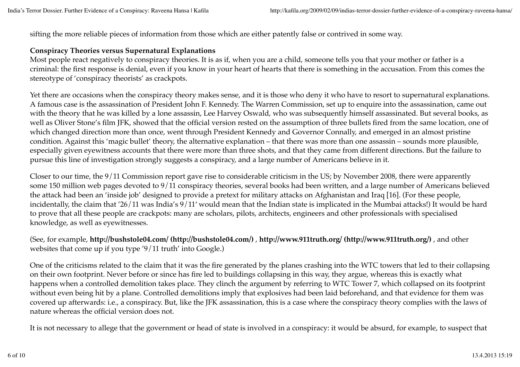sifting the more reliable pieces of information from those which are either patently false or contrived in some way.

### **Conspiracy Theories versus Supernatural Explanations**

Most people react negatively to conspiracy theories. It is as if, when you are a child, someone tells you that your mother or father is a criminal: the first response is denial, even if you know in your heart of hearts that there is something in the accusation. From this comes the stereotype of 'conspiracy theorists' as crackpots.

Yet there are occasions when the conspiracy theory makes sense, and it is those who deny it who have to resort to supernatural explanations. A famous case is the assassination of President John F. Kennedy. The Warren Commission, set up to enquire into the assassination, came out with the theory that he was killed by a lone assassin, Lee Harvey Oswald, who was subsequently himself assassinated. But several books, as well as Oliver Stone's film JFK, showed that the official version rested on the assumption of three bullets fired from the same location, one of which changed direction more than once, went through President Kennedy and Governor Connally, and emerged in an almost pristine condition. Against this 'magic bullet' theory, the alternative explanation – that there was more than one assassin – sounds more plausible, especially given eyewitness accounts that there were more than three shots, and that they came from different directions. But the failure to pursue this line of investigation strongly suggests a conspiracy, and a large number of Americans believe in it.

Closer to our time, the 9/11 Commission report gave rise to considerable criticism in the US; by November 2008, there were apparently some 150 million web pages devoted to 9/11 conspiracy theories, several books had been written, and a large number of Americans believed the attack had been an 'inside job' designed to provide a pretext for military attacks on Afghanistan and Iraq [16]. (For these people, incidentally, the claim that '26/11 was India's 9/11′ would mean that the Indian state is implicated in the Mumbai attacks!) It would be hard to prove that all these people are crackpots: many are scholars, pilots, architects, engineers and other professionals with specialised knowledge, as well as eyewitnesses.

(See, for example, **http://bushstole04.com/ (http://bushstole04.com/)** , **http://www.911truth.org/ (http://www.911truth.org/)** , and other websites that come up if you type '9/11 truth' into Google.)

One of the criticisms related to the claim that it was the fire generated by the planes crashing into the WTC towers that led to their collapsing on their own footprint. Never before or since has fire led to buildings collapsing in this way, they argue, whereas this is exactly what happens when a controlled demolition takes place. They clinch the argument by referring to WTC Tower 7, which collapsed on its footprint without even being hit by a plane. Controlled demolitions imply that explosives had been laid beforehand, and that evidence for them was covered up afterwards: i.e., a conspiracy. But, like the JFK assassination, this is a case where the conspiracy theory complies with the laws of nature whereas the official version does not.

It is not necessary to allege that the government or head of state is involved in a conspiracy: it would be absurd, for example, to suspect that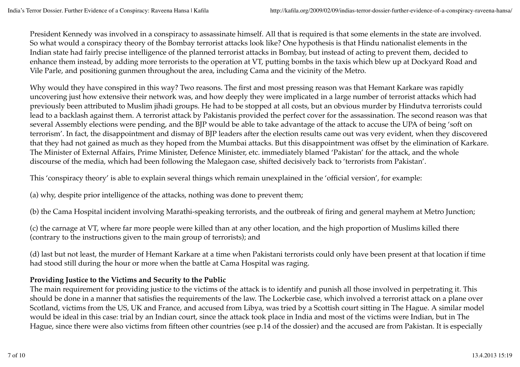President Kennedy was involved in a conspiracy to assassinate himself. All that is required is that some elements in the state are involved. So what would a conspiracy theory of the Bombay terrorist attacks look like? One hypothesis is that Hindu nationalist elements in the Indian state had fairly precise intelligence of the planned terrorist attacks in Bombay, but instead of acting to prevent them, decided to enhance them instead, by adding more terrorists to the operation at VT, putting bombs in the taxis which blew up at Dockyard Road and Vile Parle, and positioning gunmen throughout the area, including Cama and the vicinity of the Metro.

Why would they have conspired in this way? Two reasons. The first and most pressing reason was that Hemant Karkare was rapidly uncovering just how extensive their network was, and how deeply they were implicated in a large number of terrorist attacks which had previously been attributed to Muslim jihadi groups. He had to be stopped at all costs, but an obvious murder by Hindutva terrorists could lead to a backlash against them. A terrorist attack by Pakistanis provided the perfect cover for the assassination. The second reason was that several Assembly elections were pending, and the BJP would be able to take advantage of the attack to accuse the UPA of being 'soft on terrorism'. In fact, the disappointment and dismay of BJP leaders after the election results came out was very evident, when they discovered that they had not gained as much as they hoped from the Mumbai attacks. But this disappointment was offset by the elimination of Karkare. The Minister of External Affairs, Prime Minister, Defence Minister, etc. immediately blamed 'Pakistan' for the attack, and the whole discourse of the media, which had been following the Malegaon case, shifted decisively back to 'terrorists from Pakistan'.

This 'conspiracy theory' is able to explain several things which remain unexplained in the 'official version', for example:

(a) why, despite prior intelligence of the attacks, nothing was done to prevent them;

(b) the Cama Hospital incident involving Marathi-speaking terrorists, and the outbreak of firing and general mayhem at Metro Junction;

(c) the carnage at VT, where far more people were killed than at any other location, and the high proportion of Muslims killed there (contrary to the instructions given to the main group of terrorists); and

(d) last but not least, the murder of Hemant Karkare at a time when Pakistani terrorists could only have been present at that location if time had stood still during the hour or more when the battle at Cama Hospital was raging.

## **Providing Justice to the Victims and Security to the Public**

The main requirement for providing justice to the victims of the attack is to identify and punish all those involved in perpetrating it. This should be done in a manner that satisfies the requirements of the law. The Lockerbie case, which involved a terrorist attack on a plane over Scotland, victims from the US, UK and France, and accused from Libya, was tried by a Scottish court sitting in The Hague. A similar model would be ideal in this case: trial by an Indian court, since the attack took place in India and most of the victims were Indian, but in The Hague, since there were also victims from fifteen other countries (see p.14 of the dossier) and the accused are from Pakistan. It is especially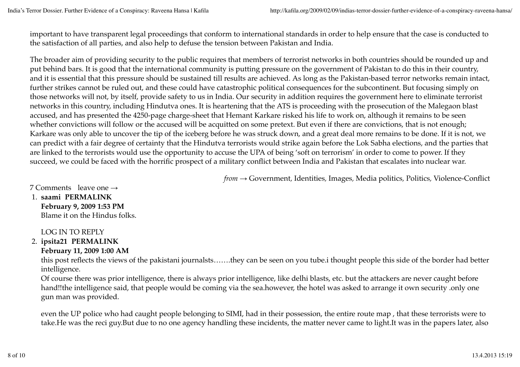important to have transparent legal proceedings that conform to international standards in order to help ensure that the case is conducted to the satisfaction of all parties, and also help to defuse the tension between Pakistan and India.

The broader aim of providing security to the public requires that members of terrorist networks in both countries should be rounded up and put behind bars. It is good that the international community is putting pressure on the government of Pakistan to do this in their country, and it is essential that this pressure should be sustained till results are achieved. As long as the Pakistan-based terror networks remain intact, further strikes cannot be ruled out, and these could have catastrophic political consequences for the subcontinent. But focusing simply on those networks will not, by itself, provide safety to us in India. Our security in addition requires the government here to eliminate terrorist networks in this country, including Hindutva ones. It is heartening that the ATS is proceeding with the prosecution of the Malegaon blast accused, and has presented the 4250-page charge-sheet that Hemant Karkare risked his life to work on, although it remains to be seen whether convictions will follow or the accused will be acquitted on some pretext. But even if there are convictions, that is not enough; Karkare was only able to uncover the tip of the iceberg before he was struck down, and a great deal more remains to be done. If it is not, we can predict with a fair degree of certainty that the Hindutva terrorists would strike again before the Lok Sabha elections, and the parties that are linked to the terrorists would use the opportunity to accuse the UPA of being 'soft on terrorism' in order to come to power. If they succeed, we could be faced with the horrific prospect of a military conflict between India and Pakistan that escalates into nuclear war.

*from →* Government*,* Identities*,* Images*,* Media politics*,* Politics*,* Violence-Conflict

7 Comments leave one →

**saami PERMALINK** 1.

**February 9, 2009 1:53 PM** Blame it on the Hindus folks.

LOG IN TO REPLY

**ipsita21 PERMALINK** 2.

## **February 11, 2009 1:00 AM**

this post reflects the views of the pakistani journalsts…….they can be seen on you tube.i thought people this side of the border had better intelligence.

Of course there was prior intelligence, there is always prior intelligence, like delhi blasts, etc. but the attackers are never caught before hand!!the intelligence said, that people would be coming via the sea.however, the hotel was asked to arrange it own security .only one gun man was provided.

even the UP police who had caught people belonging to SIMI, had in their possession, the entire route map , that these terrorists were to take.He was the reci guy.But due to no one agency handling these incidents, the matter never came to light.It was in the papers later, also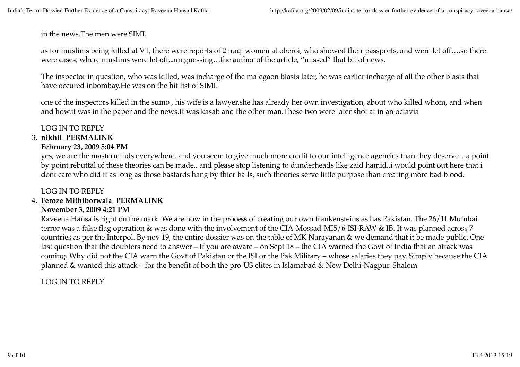in the news.The men were SIMI.

as for muslims being killed at VT, there were reports of 2 iraqi women at oberoi, who showed their passports, and were let off….so there were cases, where muslims were let off..am guessing…the author of the article, "missed" that bit of news.

The inspector in question, who was killed, was incharge of the malegaon blasts later, he was earlier incharge of all the other blasts that have occured inbombay.He was on the hit list of SIMI.

one of the inspectors killed in the sumo , his wife is a lawyer.she has already her own investigation, about who killed whom, and when and how.it was in the paper and the news.It was kasab and the other man.These two were later shot at in an octavia

## LOG IN TO REPLY

## **nikhil PERMALINK** 3.

## **February 23, 2009 5:04 PM**

yes, we are the masterminds everywhere..and you seem to give much more credit to our intelligence agencies than they deserve…a point by point rebuttal of these theories can be made.. and please stop listening to dunderheads like zaid hamid..i would point out here that i dont care who did it as long as those bastards hang by thier balls, such theories serve little purpose than creating more bad blood.

## LOG IN TO REPLY

#### **Feroze Mithiborwala PERMALINK** 4.

#### **November 3, 2009 4:21 PM**

Raveena Hansa is right on the mark. We are now in the process of creating our own frankensteins as has Pakistan. The 26/11 Mumbai terror was a false flag operation & was done with the involvement of the CIA-Mossad-MI5/6-ISI-RAW & IB. It was planned across 7 countries as per the Interpol. By nov 19, the entire dossier was on the table of MK Narayanan & we demand that it be made public. One last question that the doubters need to answer – If you are aware – on Sept 18 – the CIA warned the Govt of India that an attack was coming. Why did not the CIA warn the Govt of Pakistan or the ISI or the Pak Military – whose salaries they pay. Simply because the CIA planned & wanted this attack – for the benefit of both the pro-US elites in Islamabad & New Delhi-Nagpur. Shalom

LOG IN TO REPLY